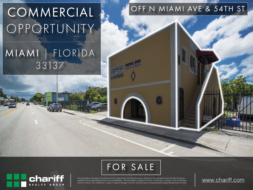# COMMERCIAL OPPORTUNITY

# MIAMI | FLORIDA 33137

### OFF N MIAMI AVE & 54TH ST





All information has been secured from the seller/lessor and the accuracy thereof is not warranted and therefore must be<br>verified by the buyer/lessee prior to purchase/lease. All information is subject to errors, omissions without notice. Any reference to age or square footage must be verified and is not guaranteed. Buyer/lessee bears all risks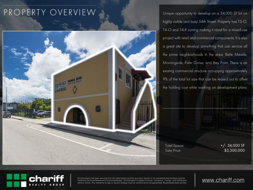## PROPERTY OVERVIEW



Unique opportunity to develop on a 34,000 SF lot on highly visible and busy 54th Street. Property has T5-O, T4-O and T4-R zoning making it ideal for a mixed-use project with retail and commercial components. It is also a great site to develop something that can service all the prime neighborhoods in the area: Belle Meade, Morningside, Palm Grove, and Bay Point. There is an existing commercial structure occupying approximately 9% of the total lot size that can be leased out to offset the holding cost while working on development plans.

Total Space:  $+/- 34,000$  SF Sale Price: \$3,300,000



All information has been secured from the seller/lessor and the accuracy thereof is not warranted and therefore must be<br>verified by the buyer/lessee prior to purchase/lease. All information is subject to errors, omissions without notice. Any reference to age or square footage must be verified and is not guaranteed. Buyer/lessee bears all risks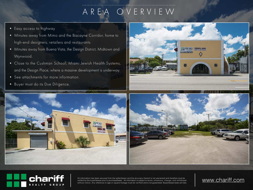## AREA OVERVIEW

- Easy access to highway
- Minutes away from Mimo and the Biscayne Corridor, home to high-end designers, retailers and restaurants.
- Minutes away from Buena Vista, the Design District, Midtown and Wynwood.
- Close to the Cushman School, Miami Jewish Health Systems, and the Design Place, where a massive development is underway.
- See attachments for more information.
- Buyer must do its Due Diligence.









All information has been secured from the seller/lessor and the accuracy thereof is not warranted and therefore must be<br>verified by the buyer/lessee prior to purchase/lease. All information is subject to errors, omissions without notice. Any reference to age or square footage must be verified and is not guaranteed. Buyer/lessee bears all risks.